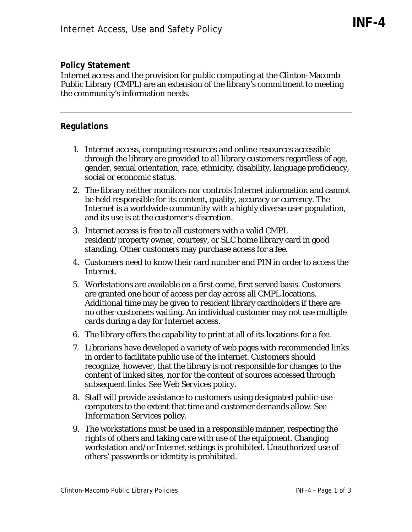## **Policy Statement**

Internet access and the provision for public computing at the Clinton-Macomb Public Library (CMPL) are an extension of the library's commitment to meeting the community's information needs.

## **Regulations**

- 1. Internet access, computing resources and online resources accessible through the library are provided to all library customers regardless of age, gender, sexual orientation, race, ethnicity, disability, language proficiency, social or economic status.
- 2. The library neither monitors nor controls Internet information and cannot be held responsible for its content, quality, accuracy or currency. The Internet is a worldwide community with a highly diverse user population, and its use is at the customer's discretion.
- 3. Internet access is free to all customers with a valid CMPL resident/property owner, courtesy, or SLC home library card in good standing. Other customers may purchase access for a fee.
- 4. Customers need to know their card number and PIN in order to access the Internet.
- 5. Workstations are available on a first come, first served basis. Customers are granted one hour of access per day across all CMPL locations. Additional time may be given to resident library cardholders if there are no other customers waiting. An individual customer may not use multiple cards during a day for Internet access.
- 6. The library offers the capability to print at all of its locations for a fee.
- 7. Librarians have developed a variety of web pages with recommended links in order to facilitate public use of the Internet. Customers should recognize, however, that the library is not responsible for changes to the content of linked sites, nor for the content of sources accessed through subsequent links. See *Web Services* policy.
- 8. Staff will provide assistance to customers using designated public-use computers to the extent that time and customer demands allow. See *Information Services* policy.
- 9. The workstations must be used in a responsible manner, respecting the rights of others and taking care with use of the equipment. Changing workstation and/or Internet settings is prohibited. Unauthorized use of others' passwords or identity is prohibited.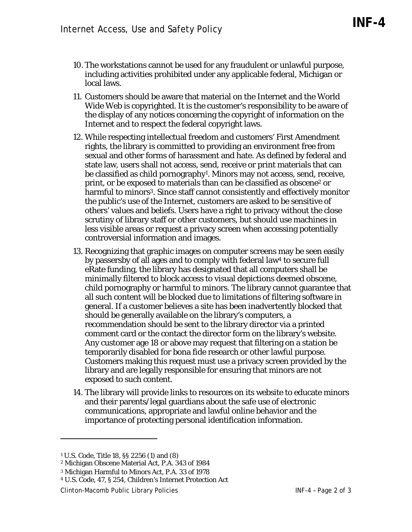- 10. The workstations cannot be used for any fraudulent or unlawful purpose, including activities prohibited under any applicable federal, Michigan or local laws.
- 11. Customers should be aware that material on the Internet and the World Wide Web is copyrighted. It is the customer's responsibility to be aware of the display of any notices concerning the copyright of information on the Internet and to respect the federal copyright laws.
- 12. While respecting intellectual freedom and customers' First Amendment rights, the library is committed to providing an environment free from sexual and other forms of harassment and hate. As defined by federal and state law, users shall not access, send, receive or print materials that can be classified as child pornography<sup>1</sup>. Minors may not access, send, receive, print, or be exposed to materials than can be classified as obscene2 or harmful to minors<sup>3</sup>. Since staff cannot consistently and effectively monitor the public's use of the Internet, customers are asked to be sensitive of others' values and beliefs. Users have a right to privacy without the close scrutiny of library staff or other customers, but should use machines in less visible areas or request a privacy screen when accessing potentially controversial information and images.
- 13. Recognizing that graphic images on computer screens may be seen easily by passersby of all ages and to comply with federal law4 to secure full eRate funding, the library has designated that all computers shall be minimally filtered to block access to visual depictions deemed obscene, child pornography or harmful to minors. The library cannot guarantee that all such content will be blocked due to limitations of filtering software in general. If a customer believes a site has been inadvertently blocked that should be generally available on the library's computers, a recommendation should be sent to the library director via a printed comment card or the contact the director form on the library's website. Any customer age 18 or above may request that filtering on a station be temporarily disabled for bona fide research or other lawful purpose. Customers making this request must use a privacy screen provided by the library and are legally responsible for ensuring that minors are not exposed to such content.
- 14. The library will provide links to resources on its website to educate minors and their parents/legal guardians about the safe use of electronic communications, appropriate and lawful online behavior and the importance of protecting personal identification information.

 $\overline{a}$ 

Clinton-Macomb Public Library Policies INF-4 – Page 2 of 3

<sup>1</sup> U.S. Code, Title 18, §§ 2256 (1) and (8)

<sup>2</sup> Michigan Obscene Material Act, P.A. 343 of 1984

<sup>3</sup> Michigan Harmful to Minors Act, P.A. 33 of 1978

<sup>4</sup> U.S. Code, 47, § 254, Children's Internet Protection Act